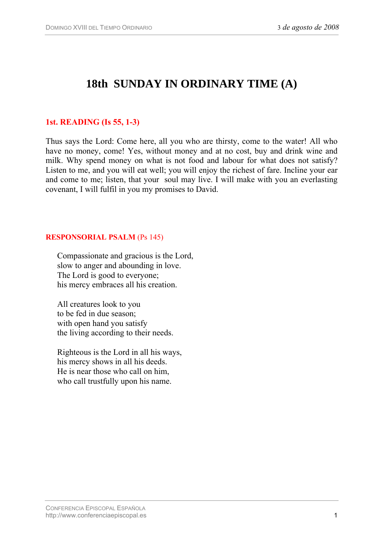# **18th SUNDAY IN ORDINARY TIME (A)**

## **1st. READING (Is 55, 1-3)**

Thus says the Lord: Come here, all you who are thirsty, come to the water! All who have no money, come! Yes, without money and at no cost, buy and drink wine and milk. Why spend money on what is not food and labour for what does not satisfy? Listen to me, and you will eat well; you will enjoy the richest of fare. Incline your ear and come to me; listen, that your soul may live. I will make with you an everlasting covenant, I will fulfil in you my promises to David.

#### **RESPONSORIAL PSALM** (Ps 145)

Compassionate and gracious is the Lord, slow to anger and abounding in love. The Lord is good to everyone; his mercy embraces all his creation.

All creatures look to you to be fed in due season; with open hand you satisfy the living according to their needs.

Righteous is the Lord in all his ways, his mercy shows in all his deeds. He is near those who call on him, who call trustfully upon his name.